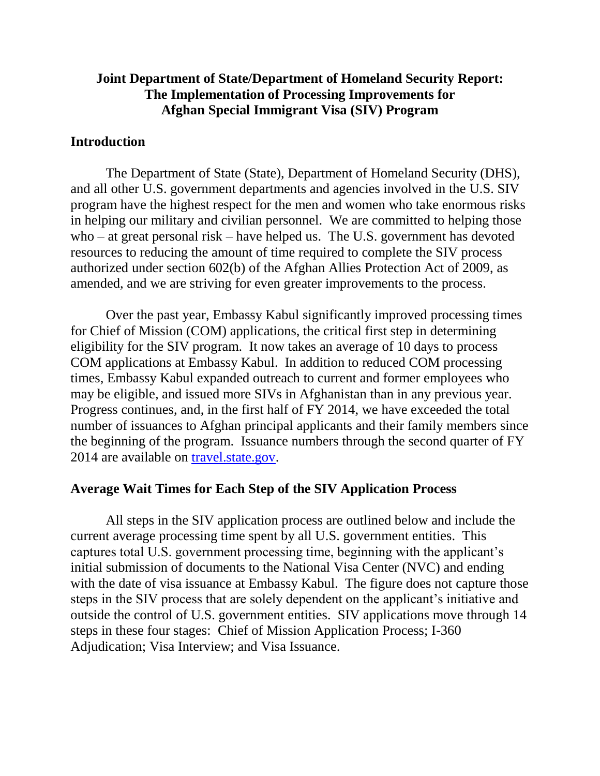## **Joint Department of State/Department of Homeland Security Report: The Implementation of Processing Improvements for Afghan Special Immigrant Visa (SIV) Program**

### **Introduction**

The Department of State (State), Department of Homeland Security (DHS), and all other U.S. government departments and agencies involved in the U.S. SIV program have the highest respect for the men and women who take enormous risks in helping our military and civilian personnel. We are committed to helping those who – at great personal risk – have helped us. The U.S. government has devoted resources to reducing the amount of time required to complete the SIV process authorized under section 602(b) of the Afghan Allies Protection Act of 2009, as amended, and we are striving for even greater improvements to the process.

Over the past year, Embassy Kabul significantly improved processing times for Chief of Mission (COM) applications, the critical first step in determining eligibility for the SIV program. It now takes an average of 10 days to process COM applications at Embassy Kabul. In addition to reduced COM processing times, Embassy Kabul expanded outreach to current and former employees who may be eligible, and issued more SIVs in Afghanistan than in any previous year. Progress continues, and, in the first half of FY 2014, we have exceeded the total number of issuances to Afghan principal applicants and their family members since the beginning of the program. Issuance numbers through the second quarter of FY 2014 are available on [travel.state.gov.](http://travel.state.gov/content/visas/english/law-and-policy/statistics/immigrant-visas.html)

### **Average Wait Times for Each Step of the SIV Application Process**

All steps in the SIV application process are outlined below and include the current average processing time spent by all U.S. government entities. This captures total U.S. government processing time, beginning with the applicant's initial submission of documents to the National Visa Center (NVC) and ending with the date of visa issuance at Embassy Kabul. The figure does not capture those steps in the SIV process that are solely dependent on the applicant's initiative and outside the control of U.S. government entities. SIV applications move through 14 steps in these four stages: Chief of Mission Application Process; I-360 Adjudication; Visa Interview; and Visa Issuance.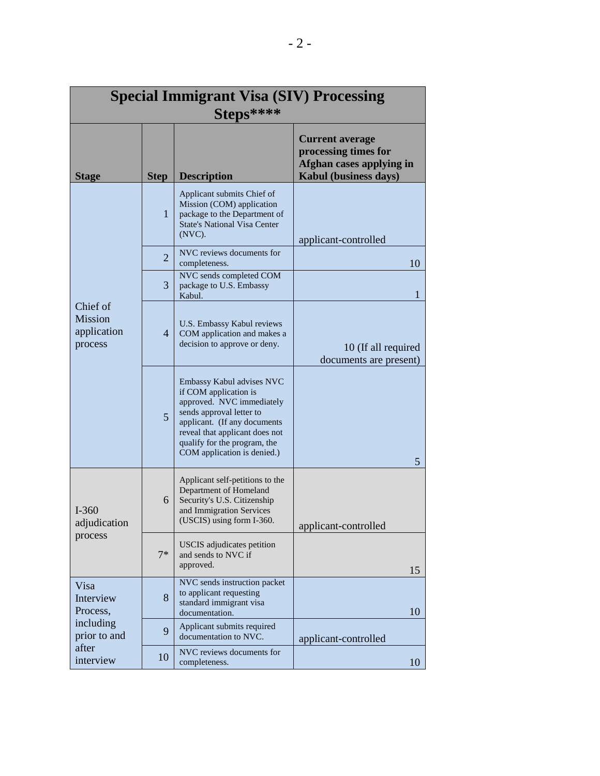| <b>Special Immigrant Visa (SIV) Processing</b>                                   |                |                                                                                                                                                                                                                                              |                                                                                                            |  |  |  |  |
|----------------------------------------------------------------------------------|----------------|----------------------------------------------------------------------------------------------------------------------------------------------------------------------------------------------------------------------------------------------|------------------------------------------------------------------------------------------------------------|--|--|--|--|
| Steps****                                                                        |                |                                                                                                                                                                                                                                              |                                                                                                            |  |  |  |  |
| <b>Stage</b>                                                                     | <b>Step</b>    | <b>Description</b>                                                                                                                                                                                                                           | <b>Current average</b><br>processing times for<br>Afghan cases applying in<br><b>Kabul</b> (business days) |  |  |  |  |
| Chief of<br><b>Mission</b><br>application<br>process                             | 1              | Applicant submits Chief of<br>Mission (COM) application<br>package to the Department of<br><b>State's National Visa Center</b><br>$(NVC)$ .                                                                                                  | applicant-controlled                                                                                       |  |  |  |  |
|                                                                                  | $\overline{2}$ | NVC reviews documents for<br>completeness.                                                                                                                                                                                                   | 10                                                                                                         |  |  |  |  |
|                                                                                  | 3              | NVC sends completed COM<br>package to U.S. Embassy<br>Kabul.                                                                                                                                                                                 | 1                                                                                                          |  |  |  |  |
|                                                                                  | $\overline{4}$ | U.S. Embassy Kabul reviews<br>COM application and makes a<br>decision to approve or deny.                                                                                                                                                    | 10 (If all required<br>documents are present)                                                              |  |  |  |  |
|                                                                                  | 5              | Embassy Kabul advises NVC<br>if COM application is<br>approved. NVC immediately<br>sends approval letter to<br>applicant. (If any documents<br>reveal that applicant does not<br>qualify for the program, the<br>COM application is denied.) | 5                                                                                                          |  |  |  |  |
| $I - 360$<br>adjudication<br>process                                             | 6              | Applicant self-petitions to the<br>Department of Homeland<br>Security's U.S. Citizenship<br>and Immigration Services<br>(USCIS) using form I-360.                                                                                            | applicant-controlled                                                                                       |  |  |  |  |
|                                                                                  | $7*$           | <b>USCIS</b> adjudicates petition<br>and sends to NVC if<br>approved.                                                                                                                                                                        | 15                                                                                                         |  |  |  |  |
| Visa<br>Interview<br>Process,<br>including<br>prior to and<br>after<br>interview | 8              | NVC sends instruction packet<br>to applicant requesting<br>standard immigrant visa<br>documentation.                                                                                                                                         | 10                                                                                                         |  |  |  |  |
|                                                                                  | 9              | Applicant submits required<br>documentation to NVC.                                                                                                                                                                                          | applicant-controlled                                                                                       |  |  |  |  |
|                                                                                  | 10             | NVC reviews documents for<br>completeness.                                                                                                                                                                                                   | 10                                                                                                         |  |  |  |  |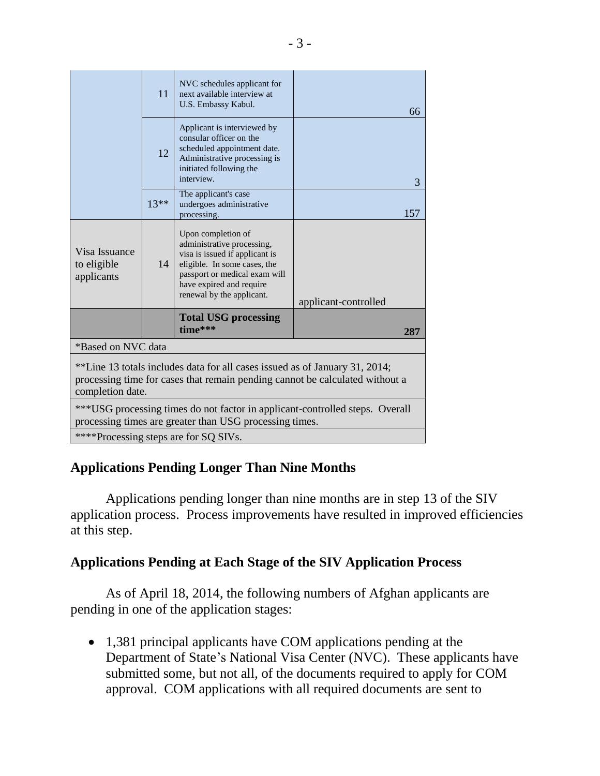|                                                                                                                                                                                 | 11     | NVC schedules applicant for<br>next available interview at<br>U.S. Embassy Kabul.                                                                                                                            | 66                   |  |  |  |  |
|---------------------------------------------------------------------------------------------------------------------------------------------------------------------------------|--------|--------------------------------------------------------------------------------------------------------------------------------------------------------------------------------------------------------------|----------------------|--|--|--|--|
|                                                                                                                                                                                 | 12     | Applicant is interviewed by<br>consular officer on the<br>scheduled appointment date.<br>Administrative processing is<br>initiated following the<br>interview.                                               | 3                    |  |  |  |  |
|                                                                                                                                                                                 | $13**$ | The applicant's case<br>undergoes administrative<br>processing.                                                                                                                                              | 157                  |  |  |  |  |
| Visa Issuance<br>to eligible<br>applicants                                                                                                                                      | 14     | Upon completion of<br>administrative processing,<br>visa is issued if applicant is<br>eligible. In some cases, the<br>passport or medical exam will<br>have expired and require<br>renewal by the applicant. | applicant-controlled |  |  |  |  |
|                                                                                                                                                                                 |        | <b>Total USG processing</b><br>time***                                                                                                                                                                       | 287                  |  |  |  |  |
| *Based on NVC data                                                                                                                                                              |        |                                                                                                                                                                                                              |                      |  |  |  |  |
| **Line 13 totals includes data for all cases issued as of January 31, 2014;<br>processing time for cases that remain pending cannot be calculated without a<br>completion date. |        |                                                                                                                                                                                                              |                      |  |  |  |  |
| ***USG processing times do not factor in applicant-controlled steps. Overall<br>processing times are greater than USG processing times.                                         |        |                                                                                                                                                                                                              |                      |  |  |  |  |
| ****Processing steps are for SQ SIVs.                                                                                                                                           |        |                                                                                                                                                                                                              |                      |  |  |  |  |

# **Applications Pending Longer Than Nine Months**

Applications pending longer than nine months are in step 13 of the SIV application process. Process improvements have resulted in improved efficiencies at this step.

## **Applications Pending at Each Stage of the SIV Application Process**

As of April 18, 2014, the following numbers of Afghan applicants are pending in one of the application stages:

• 1,381 principal applicants have COM applications pending at the Department of State's National Visa Center (NVC). These applicants have submitted some, but not all, of the documents required to apply for COM approval. COM applications with all required documents are sent to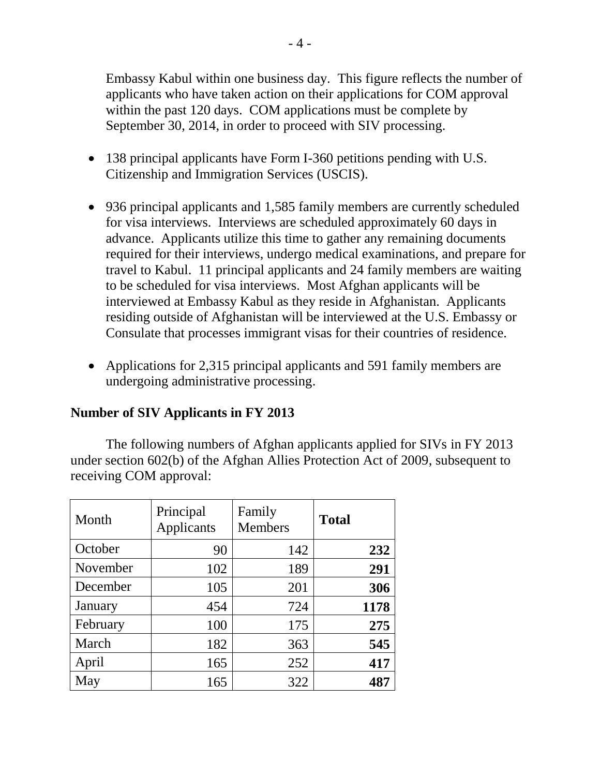Embassy Kabul within one business day. This figure reflects the number of applicants who have taken action on their applications for COM approval within the past 120 days. COM applications must be complete by September 30, 2014, in order to proceed with SIV processing.

- 138 principal applicants have Form I-360 petitions pending with U.S. Citizenship and Immigration Services (USCIS).
- 936 principal applicants and 1,585 family members are currently scheduled for visa interviews. Interviews are scheduled approximately 60 days in advance. Applicants utilize this time to gather any remaining documents required for their interviews, undergo medical examinations, and prepare for travel to Kabul. 11 principal applicants and 24 family members are waiting to be scheduled for visa interviews. Most Afghan applicants will be interviewed at Embassy Kabul as they reside in Afghanistan. Applicants residing outside of Afghanistan will be interviewed at the U.S. Embassy or Consulate that processes immigrant visas for their countries of residence.
- Applications for 2,315 principal applicants and 591 family members are undergoing administrative processing.

### **Number of SIV Applicants in FY 2013**

The following numbers of Afghan applicants applied for SIVs in FY 2013 under section 602(b) of the Afghan Allies Protection Act of 2009, subsequent to receiving COM approval:

| Month    | Principal<br>Applicants | Family<br><b>Members</b> | <b>Total</b> |
|----------|-------------------------|--------------------------|--------------|
| October  | 90                      | 142                      | 232          |
| November | 102                     | 189                      | 291          |
| December | 105                     | 201                      | 306          |
| January  | 454                     | 724                      | 1178         |
| February | 100                     | 175                      | 275          |
| March    | 182                     | 363                      | 545          |
| April    | 165                     | 252                      | 417          |
| May      | 165                     | 322                      | 487          |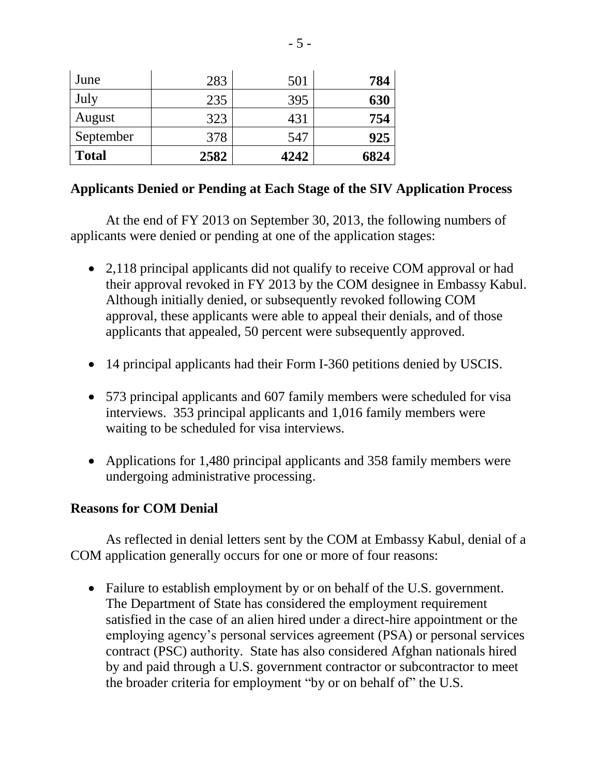| June         | 283  | 501  | 784  |
|--------------|------|------|------|
| July         | 235  | 395  | 630  |
| August       | 323  | 431  | 754  |
| September    | 378  | 547  | 925  |
| <b>Total</b> | 2582 | 4242 | 6824 |

## **Applicants Denied or Pending at Each Stage of the SIV Application Process**

At the end of FY 2013 on September 30, 2013, the following numbers of applicants were denied or pending at one of the application stages:

- 2,118 principal applicants did not qualify to receive COM approval or had their approval revoked in FY 2013 by the COM designee in Embassy Kabul. Although initially denied, or subsequently revoked following COM approval, these applicants were able to appeal their denials, and of those applicants that appealed, 50 percent were subsequently approved.
- 14 principal applicants had their Form I-360 petitions denied by USCIS.
- 573 principal applicants and 607 family members were scheduled for visa interviews. 353 principal applicants and 1,016 family members were waiting to be scheduled for visa interviews.
- Applications for 1,480 principal applicants and 358 family members were undergoing administrative processing.

## **Reasons for COM Denial**

As reflected in denial letters sent by the COM at Embassy Kabul, denial of a COM application generally occurs for one or more of four reasons:

 Failure to establish employment by or on behalf of the U.S. government. The Department of State has considered the employment requirement satisfied in the case of an alien hired under a direct-hire appointment or the employing agency's personal services agreement (PSA) or personal services contract (PSC) authority. State has also considered Afghan nationals hired by and paid through a U.S. government contractor or subcontractor to meet the broader criteria for employment "by or on behalf of" the U.S.